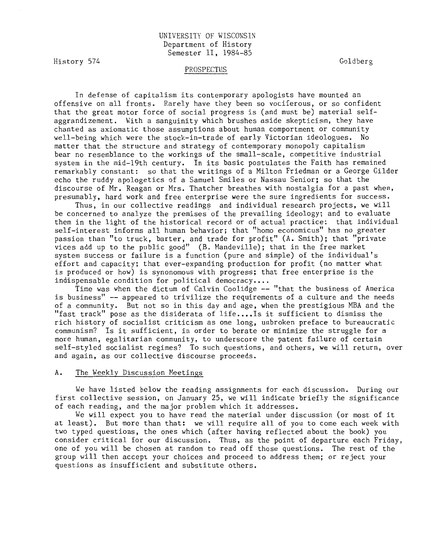# UNIVERSITY OF WISCONSIN Department of History Semester II, 1984-85

History 574

Goldberg

### PROSPECTUS

In defense of capitalism its contemporary apologists have mounted an offensive on all fronts. Rarely have they been so vociferous, or so confident that the great motor force of social progress is (and must be) material selfaggrandizement. With a sanguinity which brushes aside skepticism, they have chanted as axiomatic those assumptions about human comportment or community well-being which were the stock-in-trade of early Victorian ideologues. No matter that the structure and strategy of contemporary monopoly capitalism bear no resemblance to the workings of the small-scale, competitive industrial system in the mid-19th century. In its basic postulates the Faith has remained remarkably constant: so that the writings of a Milton Friedman or a George Gilder echo the ruddy apologetics of a Samuel Smiles or Nassau Senior; so that the discourse of Mr. Reagan or Mrs. Thatcher breathes with nostalgia for a past when, presumably, hard work and free enterprise were the sure ingredients for success.

Thus, in our collective readings and individual research projects, we will be concerned to analyze the premises of the prevailing ideology; and to evaluate them in the light of the historical record or of actual practice: that individual self-interest informs all human behavior; that "homo economicus" has no greater passion than "to truck, barter, and trade for profit" (A. Smith); that "private vices add up to the public good" (B. Mandeville); that in the free market system success or failure is a function (pure and simple) of the individual's effort and capacity; that ever-expanding production for profit (no matter what is produced or how) is synonomous with progress; that free enterprise is the indispensable condition for political democracy....

Time was when the dictum of Calvin Coolidge -- "that the business of America is business" -- appeared to trivilize the requirements of a culture and the needs of a community. But not so in this day and age, when the prestigious MBA and the "fast track" pose as the disiderata of life....Is it sufficient to dismiss the rich history of socialist criticism as one long, unbroken preface to bureaucratic communism? Is it sufficient, in order to berate or minimize the struggle for a more human, egalitarian community, to underscore the patent failure of certain self-styled socialist regimes? To such questions, and others, we will return, over and again, as our collective discourse proceeds.

#### A. The Weekly Discussion Meetings

We have listed below the reading assignments for each discussion. During our first collective session, on January 25, we will indicate briefly the significance of each reading, and the major problem which it addresses.

We will expect you to have read the material under discussion (or most of it at least). But more than that: we will require all of you to come each week with two typed questions, the ones which (after having reflected about the book) you consider critical for our discussion. Thus, as the point of departure each Friday, one of you will be chosen at random to read off those questions. The rest of the group will then accept your choices and proceed to address them; or reject your questions as insufficient and substitute others.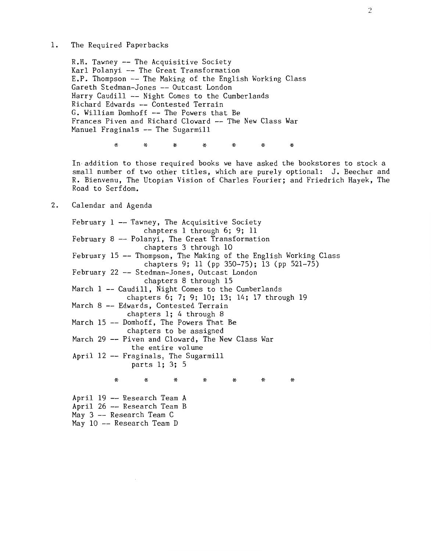1. The Required Paperbacks

R.H. Tawney -- The Acquisitive Society Karl Polanyi -- The Great Transformation E.P. Thompson -- The Making of the English Working Class Gareth Stedman-Jones -- Outcast London Harry Caudill -- Night Comes to the Cumberlands Richard Edwards -- Contested Terrain G. William Domhoff -- The Powers that Be Frances Piven and Richard Cloward -- The New Class War Manuel Fraginals -- The Sugarmill

\* \* \* \* \* \* \*

In addition to those required books we have asked the bookstores to stock a small number of two other titles, which are purely optional: J. Beecher and R. Bienvenu, The Utopian Vision of Charles Fourier; and Friedrich Hayek, The Road to Serfdom.

# 2. Calendar and Agenda

February 1 -- Tawney, The Acquisitive Society February 8 Polanyi, The Great Transformation February 15 -- Thompson, The Making of the English Working Class February 22 Stedman-Jones, Outcast London March 1 -- Caudill, Night Comes to the Cumberlands March 8 Edwards, Contested Terrain March 15 Domhoff, The Powers That Be March 29 Piven and Cloward, The New Class War April 12 Fraginals, The Sugarmill \* chapters 1 through 6; 9; 11 chapters 3 through 10 chapters 9; 11 (pp 350-75); 13 (pp 521-75) chapters 8 through 15 chapters 6; 7; 9; 10; 13; 14; 17 through 19 chapters 1; 4 through 8 chapters to be assigned the entire volume parts 1; 3; 5 \* \* \* \* \* \* April 19 -- Research Team A April 26 -- Research Team B May  $3$  -- Research Team C May 10 -- Research Team D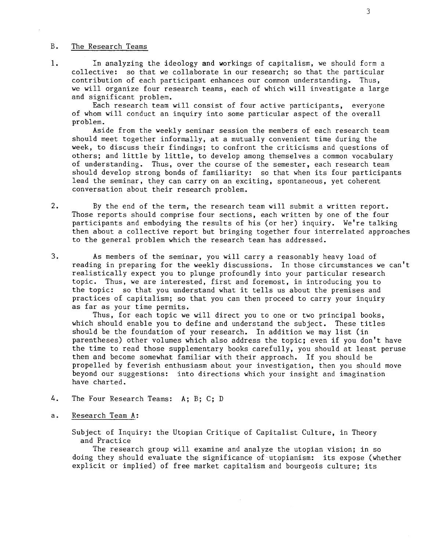#### B. The Research Teams

1. In analyzing the ideology and workings of capitalism, we should form a collective: so that we collaborate in our research; so that the particular contribution of each participant enhances our common understanding. Thus, we will organize four research teams, each of which will investigate a large and significant problem.

Each research team will consist of four active participants, everyone of whom will conduct an inquiry into some particular aspect of the overall problem.

Aside from the weekly seminar session the members of each research team should meet together informally, at a mutually convenient time during the week, to discuss their findings; to confront the criticisms and questions of others; and little by little, to develop among themselves a common vocabulary of understanding. Thus, over the course of the semester, each research team should develop strong bonds of familiarity: so that when its four participants lead the seminar, they can carry on an exciting, spontaneous, yet coherent conversation about their research problem.

- 2. By the end of the term, the research team will submit a written report. Those reports should comprise four sections, each written by one of the four participants and embodying the results of his (or her) inquiry. We're talking then about a collective report but bringing together four interrelated approaches to the general problem which the research team has addressed.
- 3. As members of the seminar, you will carry a reasonably heavy load of reading in preparing for the weekly discussions. In those circumstances we can't realistically expect you to plunge profoundly into your particular research topic. Thus, we are interested, first and foremost, in introducing you to the topic: so that you understand what it tells us about the premises and practices of capitalism; so that you can then proceed to carry your inquiry as far as your time permits.

Thus, for each topic we will direct you to one or two principal books, which should enable you to define and understand the subject. These titles should be the foundation of your research. In addition we may list (in parentheses) other volumes which also address the topic; even if you don't have the time to read those supplementary books carefully, you should at least peruse them and become somewhat familiar with their approach. If you should be propelled by feverish enthusiasm about your investigation, then you should move beyond our suggestions: into directions which your insight and imagination have charted.

- 4. The Four Research Teams: A; B; C; D
- a. Research Team A:

Subject of Inquiry: the Utopian Critique of Capitalist Culture, in Theory and Practice

The research group will examine and analyze the utopian vision; in so doing they should evaluate the significance of utopianism: its expose (whether explicit or implied) of free market capitalism and bourgeois culture; its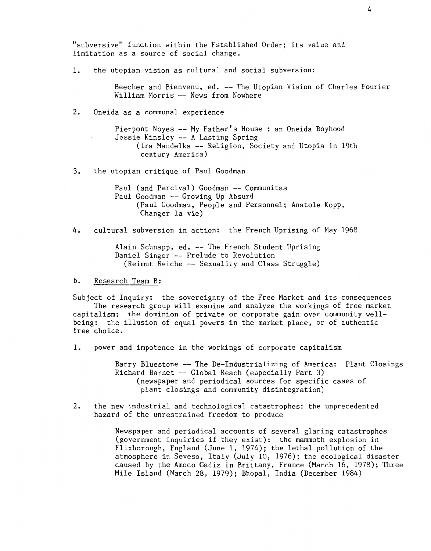"subversive" function within the Established Order; its value and limitation as a source of social change.

1. the utopian vision as cultural and social subversion:

Beecher and Bienvenu, ed. -- The Utopian Vision of Charles Fourier William Morris -- News from Nowhere

### 2. Oneida as a communal experience

Pierpont Noyes-- My Father's House : an Oneida Boyhood Jessie Kinsley -- A Lasting Spring (Ira Mandelka -- Religion, Society and Utopia in 19th century America)

3. the utopian critique of Paul Goodman

Paul (and Percival) Goodman -- Communitas Paul Goodman -- Growing Up Absurd (Paul Goodman, People and Personnel; Anatole Kopp, Changer la vie)

4. cultural subversion in action: the French Uprising of May 1968

Alain Schnapp, ed. -- The French Student Uprising Daniel Singer -- Prelude to Revolution (Reimut Reiche -- Sexuality and Class Struggle)

b. Research Team B:

Subject of Inquiry: the sovereignty of the Free Market and its consequences The research group will examine and analyze the workings of free market capitalism: the dominion of private or corporate gain over community wellbeing: the illusion of equal powers in the market place, or of authentic free choice.

1. power and impotence in the workings of corporate capitalism

Barry Bluestone -- The De-Industrializing of America: Plant Closings Richard Barnet -- Global Reach (especially Part 3) (newspaper and periodical sources for specific cases of plant closings and community disintegration)

2. the new industrial and technological catastrophes: the unprecedented hazard of the unrestrained freedom to produce

> Newspaper and periodical accounts of several glaring catastrophes (government inquiries if they exist): the mammoth explosion in Flixborough, England (June 1, 1974); the lethal pollution of the atmosphere in Seveso, Italy (July 10, 1976); the ecological disaster caused by the Amoco Cadiz in Brittany, France (March 16, 1978); Three Mile Island (March 28, 1979); Bhopal, India (December 1984)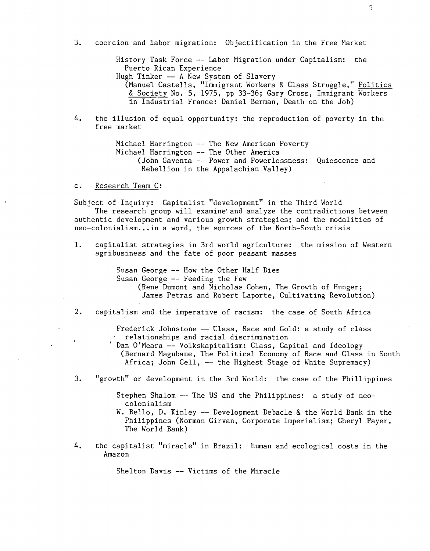History Task Force -- Labor Migration under Capitalism: the Puerto Rican Experience

Hugh Tinker -- A New System of Slavery

(Manuel Castells, "Immigrant Workers & Class Struggle," Politics & Society No. 5, 1975, pp 33-36; Gary Cross, Immigrant Workers in Industrial France: Daniel Berman, Death on the Job)

4. the illusion of equal opportunity: the reproduction of poverty in the free market

> Michael Harrington -- The New American Poverty Michael Harrington -- The Other America (John Gaventa -- Power and Powerlessness: Quiescence and Rebellion in the Appalachian Valley)

c. Research Team C:

Subject of Inquiry: Capitalist "development" in the Third World

The research group will examine and analyze the contradictions between authentic development and various growth strategies; and the modalities of neo-colonialism... in a word, the sources of the North-South crisis

1. capitalist strategies in 3rd world agriculture: the mission of Western agribusiness and the fate of poor peasant masses

> Susan George -- How the Other Half Dies Susan George  $-$ - Feeding the Few (Rene Dumont and Nicholas Cohen, The Growth of Hunger; James Petras and Robert Laporte, Cultivating Revolution)

2. capitalism and the imperative of racism: the case of South Africa

Frederick Johnstone -- Class, Race and Gold: a study of class relationships and racial discrimination

Dan O'Meara -- Volkskapitalism: Class, Capital and Ideology (Bernard Magubane, The Political Economy of Race and Class in South Africa; John Cell, -- the Highest Stage of White Supremacy)

3. "growth" or development in the 3rd World: the case of the Phillippines

Stephen Shalom -- The US and the Philippines: a study of neocolonialism

- W. Bello, D. Kinley -- Development Debacle & the World Bank in the Philippines (Norman Girvan, Corporate Imperialism; Cheryl Payer, The World Bank)
- 4. the capitalist "miracle" in Brazil: human and ecological costs in the Amazon

Shelton Davis -- Victims of the Miracle